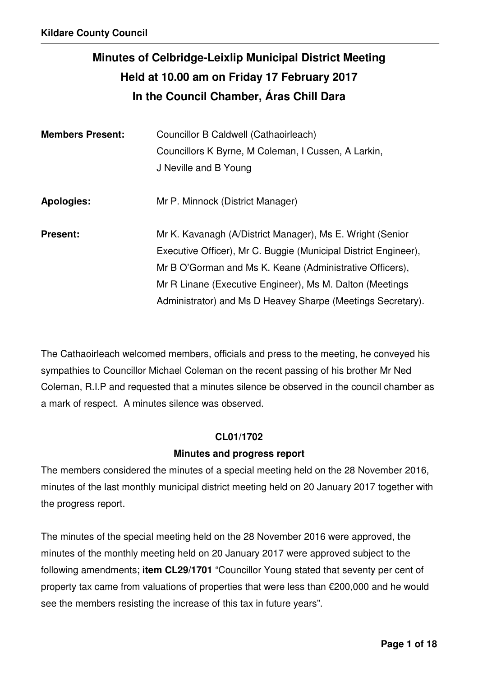# **Minutes of Celbridge-Leixlip Municipal District Meeting Held at 10.00 am on Friday 17 February 2017 In the Council Chamber, Áras Chill Dara**

| <b>Members Present:</b> | Councillor B Caldwell (Cathaoirleach)<br>Councillors K Byrne, M Coleman, I Cussen, A Larkin,<br>J Neville and B Young                                                                                                                                                                                               |
|-------------------------|---------------------------------------------------------------------------------------------------------------------------------------------------------------------------------------------------------------------------------------------------------------------------------------------------------------------|
| <b>Apologies:</b>       | Mr P. Minnock (District Manager)                                                                                                                                                                                                                                                                                    |
| <b>Present:</b>         | Mr K. Kavanagh (A/District Manager), Ms E. Wright (Senior<br>Executive Officer), Mr C. Buggie (Municipal District Engineer),<br>Mr B O'Gorman and Ms K. Keane (Administrative Officers),<br>Mr R Linane (Executive Engineer), Ms M. Dalton (Meetings<br>Administrator) and Ms D Heavey Sharpe (Meetings Secretary). |

The Cathaoirleach welcomed members, officials and press to the meeting, he conveyed his sympathies to Councillor Michael Coleman on the recent passing of his brother Mr Ned Coleman, R.I.P and requested that a minutes silence be observed in the council chamber as a mark of respect. A minutes silence was observed.

#### **CL01/1702**

#### **Minutes and progress report**

The members considered the minutes of a special meeting held on the 28 November 2016, minutes of the last monthly municipal district meeting held on 20 January 2017 together with the progress report.

The minutes of the special meeting held on the 28 November 2016 were approved, the minutes of the monthly meeting held on 20 January 2017 were approved subject to the following amendments; **item CL29/1701** "Councillor Young stated that seventy per cent of property tax came from valuations of properties that were less than €200,000 and he would see the members resisting the increase of this tax in future years".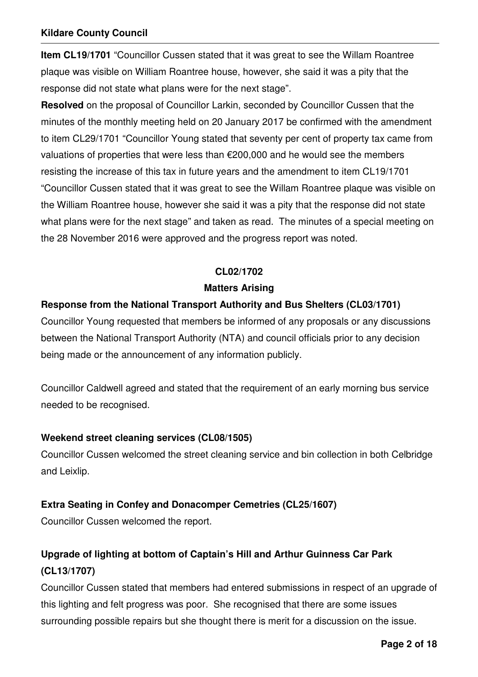**Item CL19/1701** "Councillor Cussen stated that it was great to see the Willam Roantree plaque was visible on William Roantree house, however, she said it was a pity that the response did not state what plans were for the next stage".

**Resolved** on the proposal of Councillor Larkin, seconded by Councillor Cussen that the minutes of the monthly meeting held on 20 January 2017 be confirmed with the amendment to item CL29/1701 "Councillor Young stated that seventy per cent of property tax came from valuations of properties that were less than €200,000 and he would see the members resisting the increase of this tax in future years and the amendment to item CL19/1701 "Councillor Cussen stated that it was great to see the Willam Roantree plaque was visible on the William Roantree house, however she said it was a pity that the response did not state what plans were for the next stage" and taken as read. The minutes of a special meeting on the 28 November 2016 were approved and the progress report was noted.

## **CL02/1702**

#### **Matters Arising**

## **Response from the National Transport Authority and Bus Shelters (CL03/1701)**

Councillor Young requested that members be informed of any proposals or any discussions between the National Transport Authority (NTA) and council officials prior to any decision being made or the announcement of any information publicly.

Councillor Caldwell agreed and stated that the requirement of an early morning bus service needed to be recognised.

#### **Weekend street cleaning services (CL08/1505)**

Councillor Cussen welcomed the street cleaning service and bin collection in both Celbridge and Leixlip.

## **Extra Seating in Confey and Donacomper Cemetries (CL25/1607)**

Councillor Cussen welcomed the report.

## **Upgrade of lighting at bottom of Captain's Hill and Arthur Guinness Car Park (CL13/1707)**

Councillor Cussen stated that members had entered submissions in respect of an upgrade of this lighting and felt progress was poor. She recognised that there are some issues surrounding possible repairs but she thought there is merit for a discussion on the issue.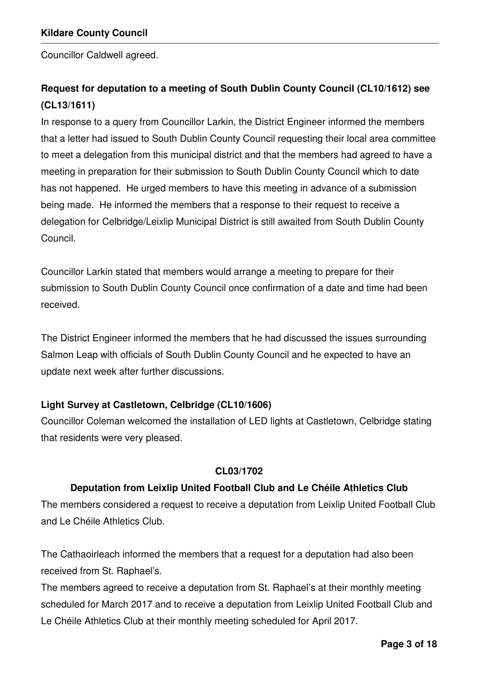Councillor Caldwell agreed.

## **Request for deputation to a meeting of South Dublin County Council (CL10/1612) see (CL13/1611)**

In response to a query from Councillor Larkin, the District Engineer informed the members that a letter had issued to South Dublin County Council requesting their local area committee to meet a delegation from this municipal district and that the members had agreed to have a meeting in preparation for their submission to South Dublin County Council which to date has not happened. He urged members to have this meeting in advance of a submission being made. He informed the members that a response to their request to receive a delegation for Celbridge/Leixlip Municipal District is still awaited from South Dublin County Council.

Councillor Larkin stated that members would arrange a meeting to prepare for their submission to South Dublin County Council once confirmation of a date and time had been received.

The District Engineer informed the members that he had discussed the issues surrounding Salmon Leap with officials of South Dublin County Council and he expected to have an update next week after further discussions.

## **Light Survey at Castletown, Celbridge (CL10/1606)**

Councillor Coleman welcomed the installation of LED lights at Castletown, Celbridge stating that residents were very pleased.

## **CL03/1702**

## **Deputation from Leixlip United Football Club and Le Chéile Athletics Club**

The members considered a request to receive a deputation from Leixlip United Football Club and Le Chéile Athletics Club.

The Cathaoirleach informed the members that a request for a deputation had also been received from St. Raphael's.

The members agreed to receive a deputation from St. Raphael's at their monthly meeting scheduled for March 2017 and to receive a deputation from Leixlip United Football Club and Le Chéile Athletics Club at their monthly meeting scheduled for April 2017.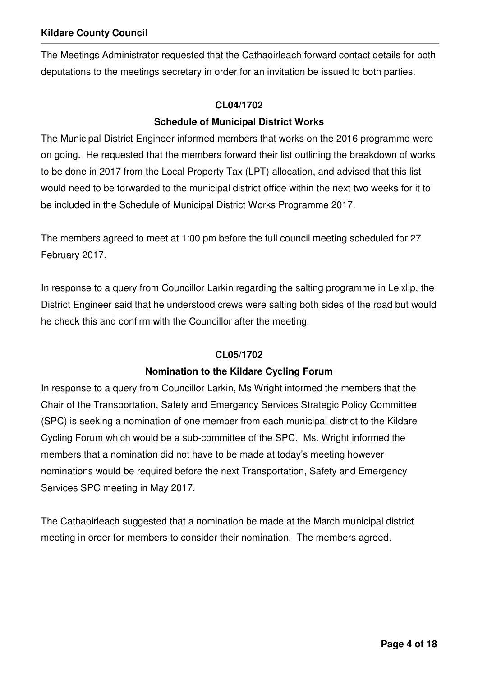The Meetings Administrator requested that the Cathaoirleach forward contact details for both deputations to the meetings secretary in order for an invitation be issued to both parties.

#### **CL04/1702**

## **Schedule of Municipal District Works**

The Municipal District Engineer informed members that works on the 2016 programme were on going. He requested that the members forward their list outlining the breakdown of works to be done in 2017 from the Local Property Tax (LPT) allocation, and advised that this list would need to be forwarded to the municipal district office within the next two weeks for it to be included in the Schedule of Municipal District Works Programme 2017.

The members agreed to meet at 1:00 pm before the full council meeting scheduled for 27 February 2017.

In response to a query from Councillor Larkin regarding the salting programme in Leixlip, the District Engineer said that he understood crews were salting both sides of the road but would he check this and confirm with the Councillor after the meeting.

## **CL05/1702**

## **Nomination to the Kildare Cycling Forum**

In response to a query from Councillor Larkin, Ms Wright informed the members that the Chair of the Transportation, Safety and Emergency Services Strategic Policy Committee (SPC) is seeking a nomination of one member from each municipal district to the Kildare Cycling Forum which would be a sub-committee of the SPC. Ms. Wright informed the members that a nomination did not have to be made at today's meeting however nominations would be required before the next Transportation, Safety and Emergency Services SPC meeting in May 2017.

The Cathaoirleach suggested that a nomination be made at the March municipal district meeting in order for members to consider their nomination. The members agreed.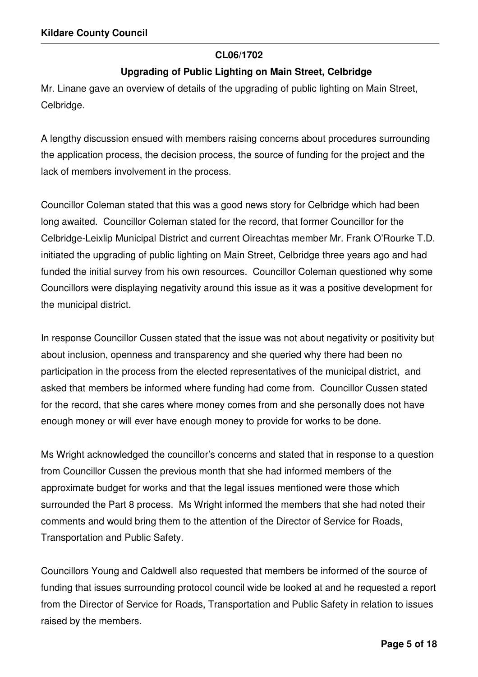#### **CL06/1702**

## **Upgrading of Public Lighting on Main Street, Celbridge**

Mr. Linane gave an overview of details of the upgrading of public lighting on Main Street, Celbridge.

A lengthy discussion ensued with members raising concerns about procedures surrounding the application process, the decision process, the source of funding for the project and the lack of members involvement in the process.

Councillor Coleman stated that this was a good news story for Celbridge which had been long awaited. Councillor Coleman stated for the record, that former Councillor for the Celbridge-Leixlip Municipal District and current Oireachtas member Mr. Frank O'Rourke T.D. initiated the upgrading of public lighting on Main Street, Celbridge three years ago and had funded the initial survey from his own resources. Councillor Coleman questioned why some Councillors were displaying negativity around this issue as it was a positive development for the municipal district.

In response Councillor Cussen stated that the issue was not about negativity or positivity but about inclusion, openness and transparency and she queried why there had been no participation in the process from the elected representatives of the municipal district, and asked that members be informed where funding had come from. Councillor Cussen stated for the record, that she cares where money comes from and she personally does not have enough money or will ever have enough money to provide for works to be done.

Ms Wright acknowledged the councillor's concerns and stated that in response to a question from Councillor Cussen the previous month that she had informed members of the approximate budget for works and that the legal issues mentioned were those which surrounded the Part 8 process. Ms Wright informed the members that she had noted their comments and would bring them to the attention of the Director of Service for Roads, Transportation and Public Safety.

Councillors Young and Caldwell also requested that members be informed of the source of funding that issues surrounding protocol council wide be looked at and he requested a report from the Director of Service for Roads, Transportation and Public Safety in relation to issues raised by the members.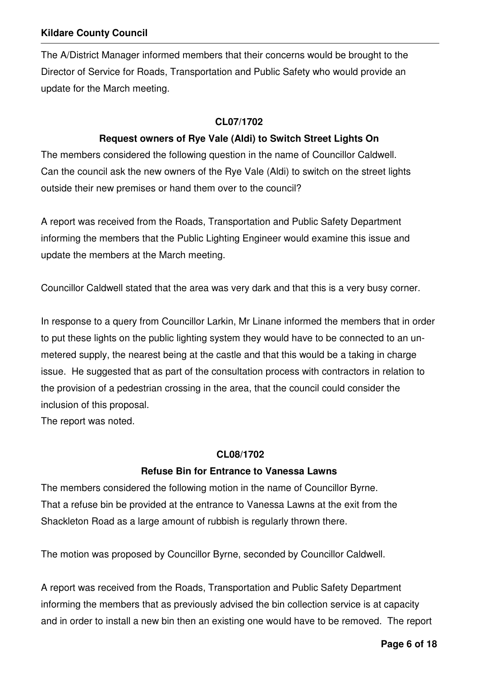The A/District Manager informed members that their concerns would be brought to the Director of Service for Roads, Transportation and Public Safety who would provide an update for the March meeting.

#### **CL07/1702**

#### **Request owners of Rye Vale (Aldi) to Switch Street Lights On**

The members considered the following question in the name of Councillor Caldwell. Can the council ask the new owners of the Rye Vale (Aldi) to switch on the street lights outside their new premises or hand them over to the council?

A report was received from the Roads, Transportation and Public Safety Department informing the members that the Public Lighting Engineer would examine this issue and update the members at the March meeting.

Councillor Caldwell stated that the area was very dark and that this is a very busy corner.

In response to a query from Councillor Larkin, Mr Linane informed the members that in order to put these lights on the public lighting system they would have to be connected to an unmetered supply, the nearest being at the castle and that this would be a taking in charge issue. He suggested that as part of the consultation process with contractors in relation to the provision of a pedestrian crossing in the area, that the council could consider the inclusion of this proposal.

The report was noted.

#### **CL08/1702**

#### **Refuse Bin for Entrance to Vanessa Lawns**

The members considered the following motion in the name of Councillor Byrne. That a refuse bin be provided at the entrance to Vanessa Lawns at the exit from the Shackleton Road as a large amount of rubbish is regularly thrown there.

The motion was proposed by Councillor Byrne, seconded by Councillor Caldwell.

A report was received from the Roads, Transportation and Public Safety Department informing the members that as previously advised the bin collection service is at capacity and in order to install a new bin then an existing one would have to be removed. The report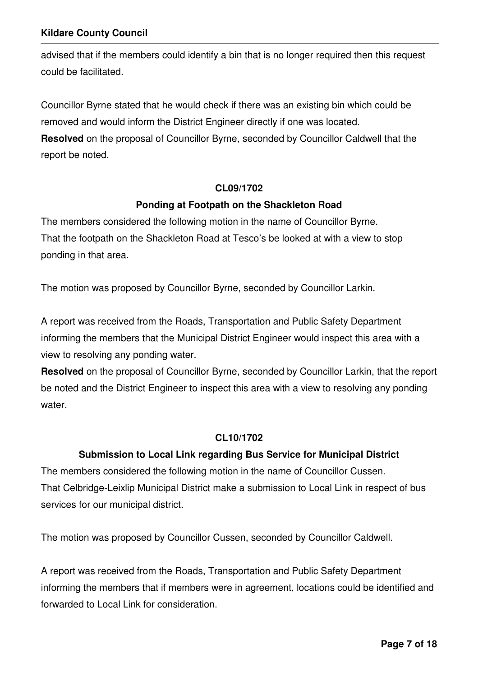advised that if the members could identify a bin that is no longer required then this request could be facilitated.

Councillor Byrne stated that he would check if there was an existing bin which could be removed and would inform the District Engineer directly if one was located.

**Resolved** on the proposal of Councillor Byrne, seconded by Councillor Caldwell that the report be noted.

#### **CL09/1702**

#### **Ponding at Footpath on the Shackleton Road**

The members considered the following motion in the name of Councillor Byrne. That the footpath on the Shackleton Road at Tesco's be looked at with a view to stop ponding in that area.

The motion was proposed by Councillor Byrne, seconded by Councillor Larkin.

A report was received from the Roads, Transportation and Public Safety Department informing the members that the Municipal District Engineer would inspect this area with a view to resolving any ponding water.

**Resolved** on the proposal of Councillor Byrne, seconded by Councillor Larkin, that the report be noted and the District Engineer to inspect this area with a view to resolving any ponding water.

#### **CL10/1702**

#### **Submission to Local Link regarding Bus Service for Municipal District**

The members considered the following motion in the name of Councillor Cussen. That Celbridge-Leixlip Municipal District make a submission to Local Link in respect of bus services for our municipal district.

The motion was proposed by Councillor Cussen, seconded by Councillor Caldwell.

A report was received from the Roads, Transportation and Public Safety Department informing the members that if members were in agreement, locations could be identified and forwarded to Local Link for consideration.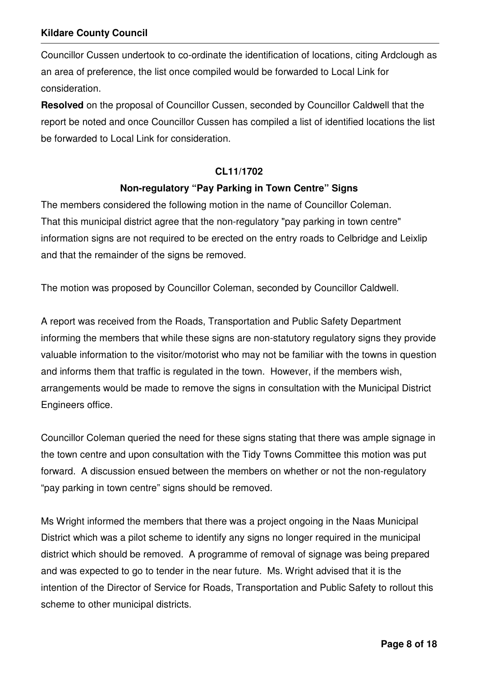Councillor Cussen undertook to co-ordinate the identification of locations, citing Ardclough as an area of preference, the list once compiled would be forwarded to Local Link for consideration.

**Resolved** on the proposal of Councillor Cussen, seconded by Councillor Caldwell that the report be noted and once Councillor Cussen has compiled a list of identified locations the list be forwarded to Local Link for consideration.

#### **CL11/1702**

#### **Non-regulatory "Pay Parking in Town Centre" Signs**

The members considered the following motion in the name of Councillor Coleman. That this municipal district agree that the non-regulatory "pay parking in town centre" information signs are not required to be erected on the entry roads to Celbridge and Leixlip and that the remainder of the signs be removed.

The motion was proposed by Councillor Coleman, seconded by Councillor Caldwell.

A report was received from the Roads, Transportation and Public Safety Department informing the members that while these signs are non-statutory regulatory signs they provide valuable information to the visitor/motorist who may not be familiar with the towns in question and informs them that traffic is regulated in the town. However, if the members wish, arrangements would be made to remove the signs in consultation with the Municipal District Engineers office.

Councillor Coleman queried the need for these signs stating that there was ample signage in the town centre and upon consultation with the Tidy Towns Committee this motion was put forward. A discussion ensued between the members on whether or not the non-regulatory "pay parking in town centre" signs should be removed.

Ms Wright informed the members that there was a project ongoing in the Naas Municipal District which was a pilot scheme to identify any signs no longer required in the municipal district which should be removed. A programme of removal of signage was being prepared and was expected to go to tender in the near future. Ms. Wright advised that it is the intention of the Director of Service for Roads, Transportation and Public Safety to rollout this scheme to other municipal districts.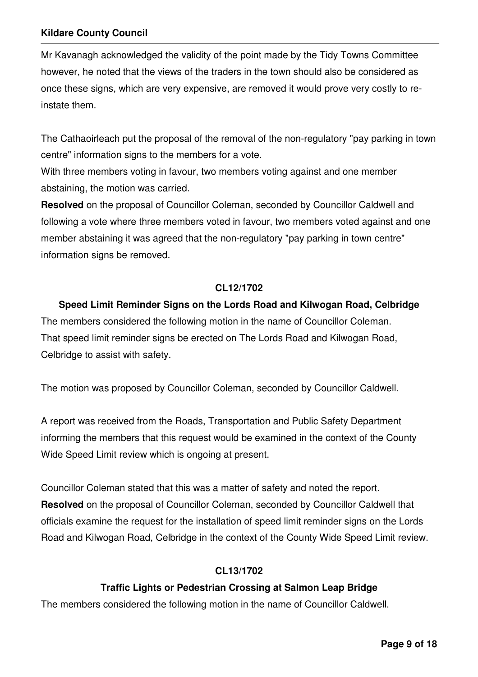Mr Kavanagh acknowledged the validity of the point made by the Tidy Towns Committee however, he noted that the views of the traders in the town should also be considered as once these signs, which are very expensive, are removed it would prove very costly to reinstate them.

The Cathaoirleach put the proposal of the removal of the non-regulatory "pay parking in town centre" information signs to the members for a vote.

With three members voting in favour, two members voting against and one member abstaining, the motion was carried.

**Resolved** on the proposal of Councillor Coleman, seconded by Councillor Caldwell and following a vote where three members voted in favour, two members voted against and one member abstaining it was agreed that the non-regulatory "pay parking in town centre" information signs be removed.

#### **CL12/1702**

#### **Speed Limit Reminder Signs on the Lords Road and Kilwogan Road, Celbridge**

The members considered the following motion in the name of Councillor Coleman. That speed limit reminder signs be erected on The Lords Road and Kilwogan Road, Celbridge to assist with safety.

The motion was proposed by Councillor Coleman, seconded by Councillor Caldwell.

A report was received from the Roads, Transportation and Public Safety Department informing the members that this request would be examined in the context of the County Wide Speed Limit review which is ongoing at present.

Councillor Coleman stated that this was a matter of safety and noted the report. **Resolved** on the proposal of Councillor Coleman, seconded by Councillor Caldwell that officials examine the request for the installation of speed limit reminder signs on the Lords Road and Kilwogan Road, Celbridge in the context of the County Wide Speed Limit review.

#### **CL13/1702**

#### **Traffic Lights or Pedestrian Crossing at Salmon Leap Bridge**

The members considered the following motion in the name of Councillor Caldwell.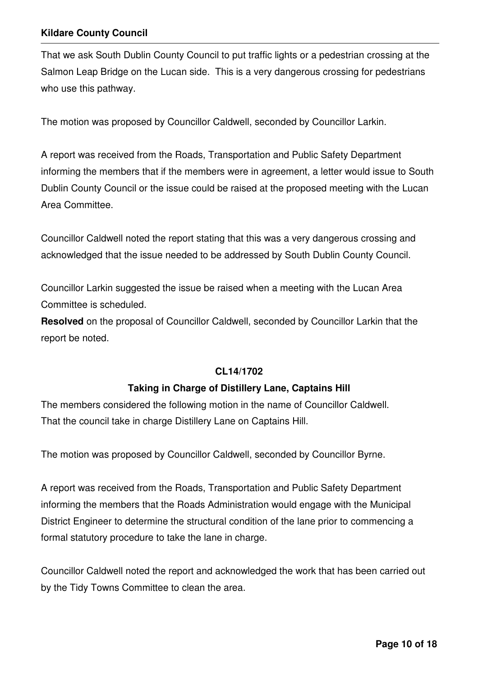That we ask South Dublin County Council to put traffic lights or a pedestrian crossing at the Salmon Leap Bridge on the Lucan side. This is a very dangerous crossing for pedestrians who use this pathway.

The motion was proposed by Councillor Caldwell, seconded by Councillor Larkin.

A report was received from the Roads, Transportation and Public Safety Department informing the members that if the members were in agreement, a letter would issue to South Dublin County Council or the issue could be raised at the proposed meeting with the Lucan Area Committee.

Councillor Caldwell noted the report stating that this was a very dangerous crossing and acknowledged that the issue needed to be addressed by South Dublin County Council.

Councillor Larkin suggested the issue be raised when a meeting with the Lucan Area Committee is scheduled.

**Resolved** on the proposal of Councillor Caldwell, seconded by Councillor Larkin that the report be noted.

## **CL14/1702**

## **Taking in Charge of Distillery Lane, Captains Hill**

The members considered the following motion in the name of Councillor Caldwell. That the council take in charge Distillery Lane on Captains Hill.

The motion was proposed by Councillor Caldwell, seconded by Councillor Byrne.

A report was received from the Roads, Transportation and Public Safety Department informing the members that the Roads Administration would engage with the Municipal District Engineer to determine the structural condition of the lane prior to commencing a formal statutory procedure to take the lane in charge.

Councillor Caldwell noted the report and acknowledged the work that has been carried out by the Tidy Towns Committee to clean the area.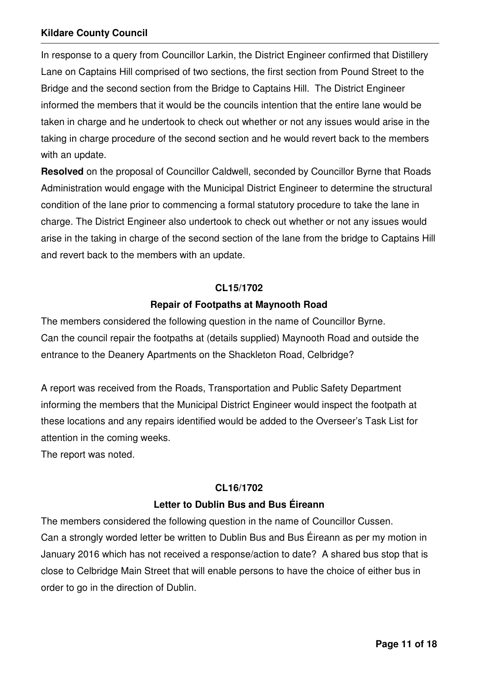In response to a query from Councillor Larkin, the District Engineer confirmed that Distillery Lane on Captains Hill comprised of two sections, the first section from Pound Street to the Bridge and the second section from the Bridge to Captains Hill. The District Engineer informed the members that it would be the councils intention that the entire lane would be taken in charge and he undertook to check out whether or not any issues would arise in the taking in charge procedure of the second section and he would revert back to the members with an update.

**Resolved** on the proposal of Councillor Caldwell, seconded by Councillor Byrne that Roads Administration would engage with the Municipal District Engineer to determine the structural condition of the lane prior to commencing a formal statutory procedure to take the lane in charge. The District Engineer also undertook to check out whether or not any issues would arise in the taking in charge of the second section of the lane from the bridge to Captains Hill and revert back to the members with an update.

#### **CL15/1702**

#### **Repair of Footpaths at Maynooth Road**

The members considered the following question in the name of Councillor Byrne. Can the council repair the footpaths at (details supplied) Maynooth Road and outside the entrance to the Deanery Apartments on the Shackleton Road, Celbridge?

A report was received from the Roads, Transportation and Public Safety Department informing the members that the Municipal District Engineer would inspect the footpath at these locations and any repairs identified would be added to the Overseer's Task List for attention in the coming weeks.

The report was noted.

#### **CL16/1702**

## **Letter to Dublin Bus and Bus Éireann**

The members considered the following question in the name of Councillor Cussen. Can a strongly worded letter be written to Dublin Bus and Bus Éireann as per my motion in January 2016 which has not received a response/action to date? A shared bus stop that is close to Celbridge Main Street that will enable persons to have the choice of either bus in order to go in the direction of Dublin.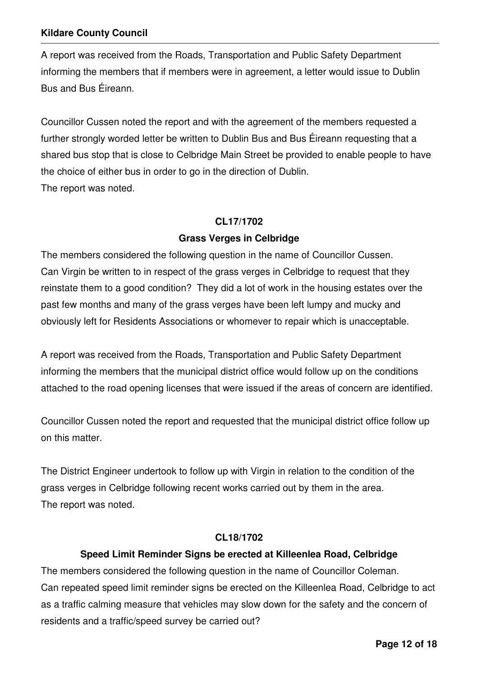A report was received from the Roads, Transportation and Public Safety Department informing the members that if members were in agreement, a letter would issue to Dublin Bus and Bus Éireann.

Councillor Cussen noted the report and with the agreement of the members requested a further strongly worded letter be written to Dublin Bus and Bus Éireann requesting that a shared bus stop that is close to Celbridge Main Street be provided to enable people to have the choice of either bus in order to go in the direction of Dublin. The report was noted.

#### **CL17/1702**

#### **Grass Verges in Celbridge**

The members considered the following question in the name of Councillor Cussen. Can Virgin be written to in respect of the grass verges in Celbridge to request that they reinstate them to a good condition? They did a lot of work in the housing estates over the past few months and many of the grass verges have been left lumpy and mucky and obviously left for Residents Associations or whomever to repair which is unacceptable.

A report was received from the Roads, Transportation and Public Safety Department informing the members that the municipal district office would follow up on the conditions attached to the road opening licenses that were issued if the areas of concern are identified.

Councillor Cussen noted the report and requested that the municipal district office follow up on this matter.

The District Engineer undertook to follow up with Virgin in relation to the condition of the grass verges in Celbridge following recent works carried out by them in the area. The report was noted.

#### **CL18/1702**

## **Speed Limit Reminder Signs be erected at Killeenlea Road, Celbridge**

The members considered the following question in the name of Councillor Coleman. Can repeated speed limit reminder signs be erected on the Killeenlea Road, Celbridge to act as a traffic calming measure that vehicles may slow down for the safety and the concern of residents and a traffic/speed survey be carried out?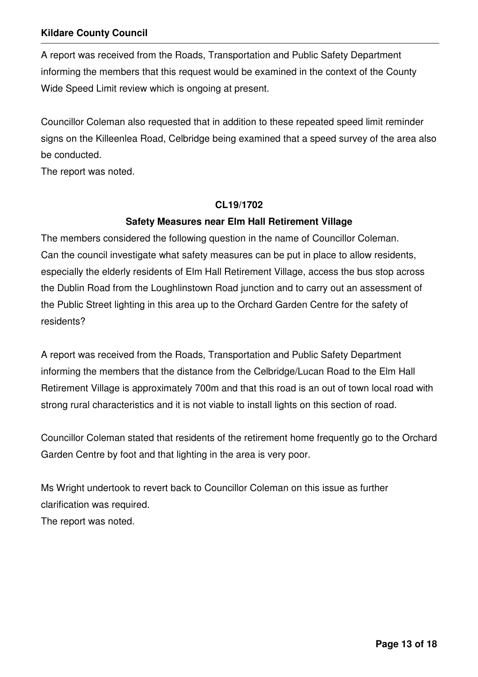A report was received from the Roads, Transportation and Public Safety Department informing the members that this request would be examined in the context of the County Wide Speed Limit review which is ongoing at present.

Councillor Coleman also requested that in addition to these repeated speed limit reminder signs on the Killeenlea Road, Celbridge being examined that a speed survey of the area also be conducted.

The report was noted.

#### **CL19/1702**

## **Safety Measures near Elm Hall Retirement Village**

The members considered the following question in the name of Councillor Coleman. Can the council investigate what safety measures can be put in place to allow residents, especially the elderly residents of Elm Hall Retirement Village, access the bus stop across the Dublin Road from the Loughlinstown Road junction and to carry out an assessment of the Public Street lighting in this area up to the Orchard Garden Centre for the safety of residents?

A report was received from the Roads, Transportation and Public Safety Department informing the members that the distance from the Celbridge/Lucan Road to the Elm Hall Retirement Village is approximately 700m and that this road is an out of town local road with strong rural characteristics and it is not viable to install lights on this section of road.

Councillor Coleman stated that residents of the retirement home frequently go to the Orchard Garden Centre by foot and that lighting in the area is very poor.

Ms Wright undertook to revert back to Councillor Coleman on this issue as further clarification was required. The report was noted.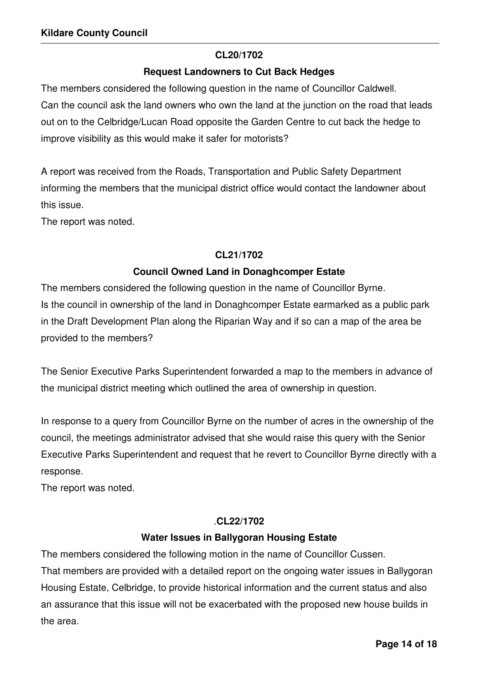#### **CL20/1702**

#### **Request Landowners to Cut Back Hedges**

The members considered the following question in the name of Councillor Caldwell. Can the council ask the land owners who own the land at the junction on the road that leads out on to the Celbridge/Lucan Road opposite the Garden Centre to cut back the hedge to improve visibility as this would make it safer for motorists?

A report was received from the Roads, Transportation and Public Safety Department informing the members that the municipal district office would contact the landowner about this issue.

The report was noted.

## **CL21/1702**

## **Council Owned Land in Donaghcomper Estate**

The members considered the following question in the name of Councillor Byrne. Is the council in ownership of the land in Donaghcomper Estate earmarked as a public park in the Draft Development Plan along the Riparian Way and if so can a map of the area be provided to the members?

The Senior Executive Parks Superintendent forwarded a map to the members in advance of the municipal district meeting which outlined the area of ownership in question.

In response to a query from Councillor Byrne on the number of acres in the ownership of the council, the meetings administrator advised that she would raise this query with the Senior Executive Parks Superintendent and request that he revert to Councillor Byrne directly with a response.

The report was noted.

## .**CL22/1702**

## **Water Issues in Ballygoran Housing Estate**

The members considered the following motion in the name of Councillor Cussen. That members are provided with a detailed report on the ongoing water issues in Ballygoran Housing Estate, Celbridge, to provide historical information and the current status and also an assurance that this issue will not be exacerbated with the proposed new house builds in the area.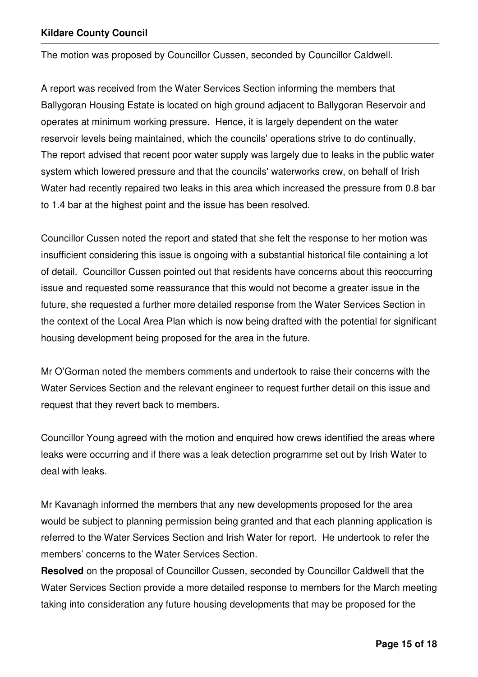The motion was proposed by Councillor Cussen, seconded by Councillor Caldwell.

A report was received from the Water Services Section informing the members that Ballygoran Housing Estate is located on high ground adjacent to Ballygoran Reservoir and operates at minimum working pressure. Hence, it is largely dependent on the water reservoir levels being maintained, which the councils' operations strive to do continually. The report advised that recent poor water supply was largely due to leaks in the public water system which lowered pressure and that the councils' waterworks crew, on behalf of Irish Water had recently repaired two leaks in this area which increased the pressure from 0.8 bar to 1.4 bar at the highest point and the issue has been resolved.

Councillor Cussen noted the report and stated that she felt the response to her motion was insufficient considering this issue is ongoing with a substantial historical file containing a lot of detail. Councillor Cussen pointed out that residents have concerns about this reoccurring issue and requested some reassurance that this would not become a greater issue in the future, she requested a further more detailed response from the Water Services Section in the context of the Local Area Plan which is now being drafted with the potential for significant housing development being proposed for the area in the future.

Mr O'Gorman noted the members comments and undertook to raise their concerns with the Water Services Section and the relevant engineer to request further detail on this issue and request that they revert back to members.

Councillor Young agreed with the motion and enquired how crews identified the areas where leaks were occurring and if there was a leak detection programme set out by Irish Water to deal with leaks.

Mr Kavanagh informed the members that any new developments proposed for the area would be subject to planning permission being granted and that each planning application is referred to the Water Services Section and Irish Water for report. He undertook to refer the members' concerns to the Water Services Section.

**Resolved** on the proposal of Councillor Cussen, seconded by Councillor Caldwell that the Water Services Section provide a more detailed response to members for the March meeting taking into consideration any future housing developments that may be proposed for the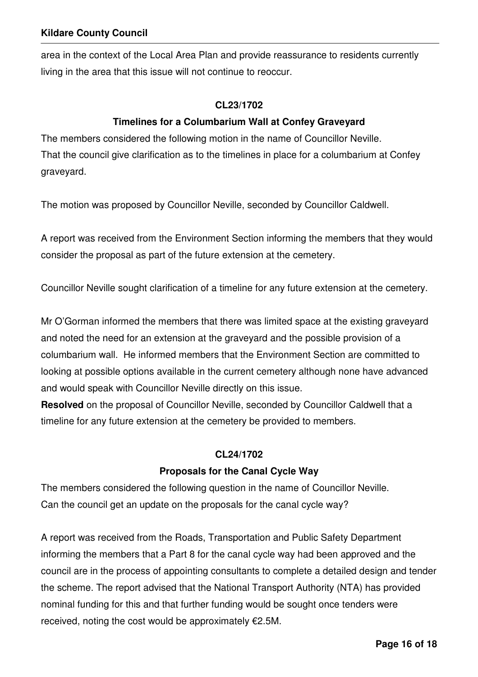area in the context of the Local Area Plan and provide reassurance to residents currently living in the area that this issue will not continue to reoccur.

#### **CL23/1702**

#### **Timelines for a Columbarium Wall at Confey Graveyard**

The members considered the following motion in the name of Councillor Neville. That the council give clarification as to the timelines in place for a columbarium at Confey graveyard.

The motion was proposed by Councillor Neville, seconded by Councillor Caldwell.

A report was received from the Environment Section informing the members that they would consider the proposal as part of the future extension at the cemetery.

Councillor Neville sought clarification of a timeline for any future extension at the cemetery.

Mr O'Gorman informed the members that there was limited space at the existing graveyard and noted the need for an extension at the graveyard and the possible provision of a columbarium wall. He informed members that the Environment Section are committed to looking at possible options available in the current cemetery although none have advanced and would speak with Councillor Neville directly on this issue.

**Resolved** on the proposal of Councillor Neville, seconded by Councillor Caldwell that a timeline for any future extension at the cemetery be provided to members.

#### **CL24/1702**

#### **Proposals for the Canal Cycle Way**

The members considered the following question in the name of Councillor Neville. Can the council get an update on the proposals for the canal cycle way?

A report was received from the Roads, Transportation and Public Safety Department informing the members that a Part 8 for the canal cycle way had been approved and the council are in the process of appointing consultants to complete a detailed design and tender the scheme. The report advised that the National Transport Authority (NTA) has provided nominal funding for this and that further funding would be sought once tenders were received, noting the cost would be approximately  $E2.5M$ .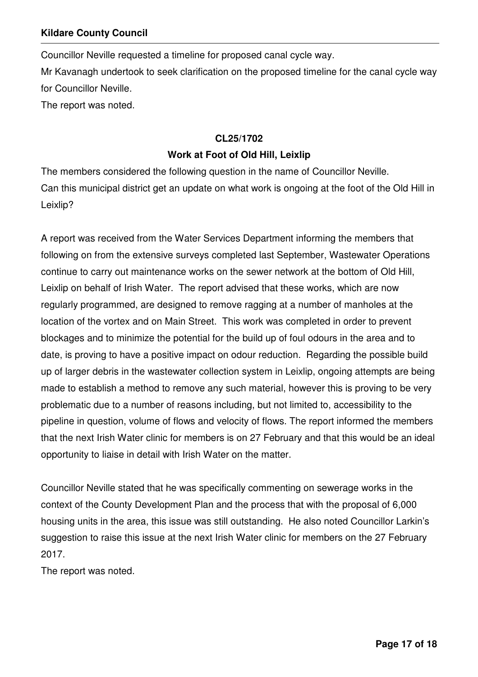Councillor Neville requested a timeline for proposed canal cycle way. Mr Kavanagh undertook to seek clarification on the proposed timeline for the canal cycle way for Councillor Neville. The report was noted.

#### **CL25/1702**

#### **Work at Foot of Old Hill, Leixlip**

The members considered the following question in the name of Councillor Neville. Can this municipal district get an update on what work is ongoing at the foot of the Old Hill in Leixlip?

A report was received from the Water Services Department informing the members that following on from the extensive surveys completed last September, Wastewater Operations continue to carry out maintenance works on the sewer network at the bottom of Old Hill, Leixlip on behalf of Irish Water. The report advised that these works, which are now regularly programmed, are designed to remove ragging at a number of manholes at the location of the vortex and on Main Street. This work was completed in order to prevent blockages and to minimize the potential for the build up of foul odours in the area and to date, is proving to have a positive impact on odour reduction. Regarding the possible build up of larger debris in the wastewater collection system in Leixlip, ongoing attempts are being made to establish a method to remove any such material, however this is proving to be very problematic due to a number of reasons including, but not limited to, accessibility to the pipeline in question, volume of flows and velocity of flows. The report informed the members that the next Irish Water clinic for members is on 27 February and that this would be an ideal opportunity to liaise in detail with Irish Water on the matter.

Councillor Neville stated that he was specifically commenting on sewerage works in the context of the County Development Plan and the process that with the proposal of 6,000 housing units in the area, this issue was still outstanding. He also noted Councillor Larkin's suggestion to raise this issue at the next Irish Water clinic for members on the 27 February 2017.

The report was noted.